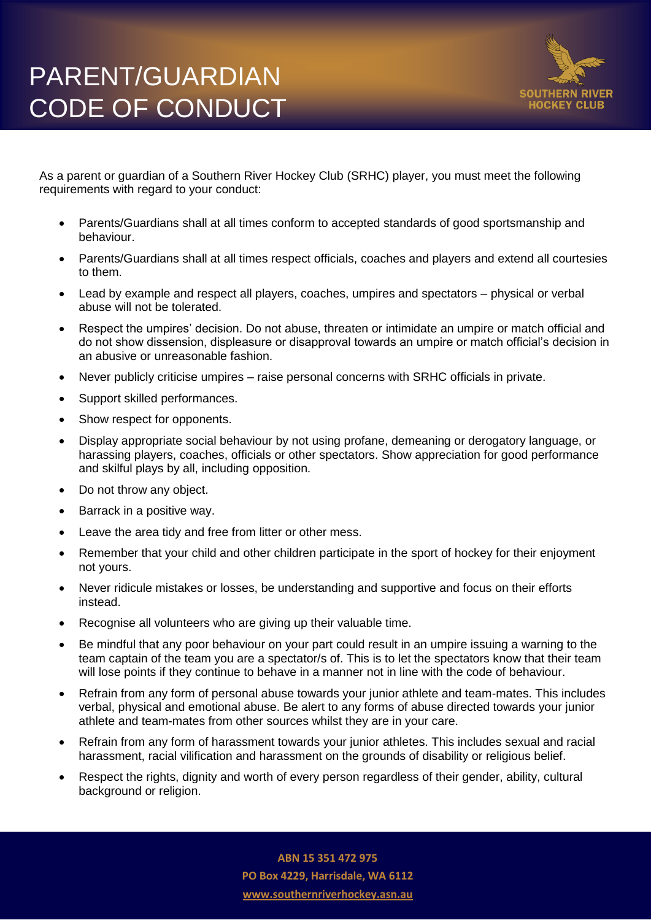

As a parent or guardian of a Southern River Hockey Club (SRHC) player, you must meet the following requirements with regard to your conduct:

- Parents/Guardians shall at all times conform to accepted standards of good sportsmanship and behaviour.
- Parents/Guardians shall at all times respect officials, coaches and players and extend all courtesies to them.
- Lead by example and respect all players, coaches, umpires and spectators physical or verbal abuse will not be tolerated.
- Respect the umpires' decision. Do not abuse, threaten or intimidate an umpire or match official and do not show dissension, displeasure or disapproval towards an umpire or match official's decision in an abusive or unreasonable fashion.
- Never publicly criticise umpires raise personal concerns with SRHC officials in private.
- Support skilled performances.
- Show respect for opponents.
- Display appropriate social behaviour by not using profane, demeaning or derogatory language, or harassing players, coaches, officials or other spectators. Show appreciation for good performance and skilful plays by all, including opposition.
- Do not throw any object.
- Barrack in a positive way.
- Leave the area tidy and free from litter or other mess.
- Remember that your child and other children participate in the sport of hockey for their enjoyment not yours.
- Never ridicule mistakes or losses, be understanding and supportive and focus on their efforts instead.
- Recognise all volunteers who are giving up their valuable time.
- Be mindful that any poor behaviour on your part could result in an umpire issuing a warning to the team captain of the team you are a spectator/s of. This is to let the spectators know that their team will lose points if they continue to behave in a manner not in line with the code of behaviour.
- Refrain from any form of personal abuse towards your junior athlete and team-mates. This includes verbal, physical and emotional abuse. Be alert to any forms of abuse directed towards your junior athlete and team-mates from other sources whilst they are in your care.
- Refrain from any form of harassment towards your junior athletes. This includes sexual and racial harassment, racial vilification and harassment on the grounds of disability or religious belief.
- Respect the rights, dignity and worth of every person regardless of their gender, ability, cultural background or religion.

**ABN 15 351 472 975 PO Box 4229, Harrisdale, WA 6112 www.southernriverhockey.asn.au**